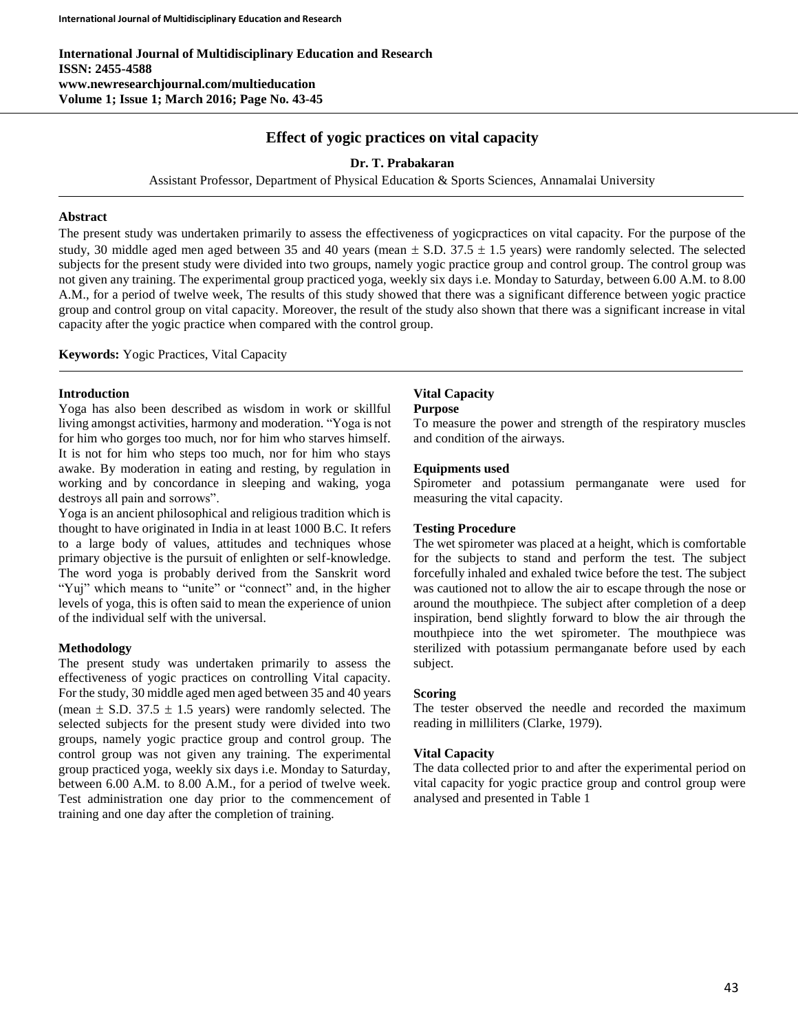**International Journal of Multidisciplinary Education and Research ISSN: 2455-4588 www.newresearchjournal.com/multieducation Volume 1; Issue 1; March 2016; Page No. 43-45**

## **Effect of yogic practices on vital capacity**

## **Dr. T. Prabakaran**

Assistant Professor, Department of Physical Education & Sports Sciences, Annamalai University

#### **Abstract**

The present study was undertaken primarily to assess the effectiveness of yogicpractices on vital capacity. For the purpose of the study, 30 middle aged men aged between 35 and 40 years (mean  $\pm$  S.D. 37.5  $\pm$  1.5 years) were randomly selected. The selected subjects for the present study were divided into two groups, namely yogic practice group and control group. The control group was not given any training. The experimental group practiced yoga, weekly six days i.e. Monday to Saturday, between 6.00 A.M. to 8.00 A.M., for a period of twelve week, The results of this study showed that there was a significant difference between yogic practice group and control group on vital capacity. Moreover, the result of the study also shown that there was a significant increase in vital capacity after the yogic practice when compared with the control group.

**Keywords:** Yogic Practices, Vital Capacity

## **Introduction**

Yoga has also been described as wisdom in work or skillful living amongst activities, harmony and moderation. "Yoga is not for him who gorges too much, nor for him who starves himself. It is not for him who steps too much, nor for him who stays awake. By moderation in eating and resting, by regulation in working and by concordance in sleeping and waking, yoga destroys all pain and sorrows".

Yoga is an ancient philosophical and religious tradition which is thought to have originated in India in at least 1000 B.C. It refers to a large body of values, attitudes and techniques whose primary objective is the pursuit of enlighten or self-knowledge. The word yoga is probably derived from the Sanskrit word "Yuj" which means to "unite" or "connect" and, in the higher levels of yoga, this is often said to mean the experience of union of the individual self with the universal.

## **Methodology**

The present study was undertaken primarily to assess the effectiveness of yogic practices on controlling Vital capacity. For the study, 30 middle aged men aged between 35 and 40 years (mean  $\pm$  S.D. 37.5  $\pm$  1.5 years) were randomly selected. The selected subjects for the present study were divided into two groups, namely yogic practice group and control group. The control group was not given any training. The experimental group practiced yoga, weekly six days i.e. Monday to Saturday, between 6.00 A.M. to 8.00 A.M., for a period of twelve week. Test administration one day prior to the commencement of training and one day after the completion of training.

# **Vital Capacity**

## **Purpose**

To measure the power and strength of the respiratory muscles and condition of the airways.

#### **Equipments used**

Spirometer and potassium permanganate were used for measuring the vital capacity.

#### **Testing Procedure**

The wet spirometer was placed at a height, which is comfortable for the subjects to stand and perform the test. The subject forcefully inhaled and exhaled twice before the test. The subject was cautioned not to allow the air to escape through the nose or around the mouthpiece. The subject after completion of a deep inspiration, bend slightly forward to blow the air through the mouthpiece into the wet spirometer. The mouthpiece was sterilized with potassium permanganate before used by each subject.

#### **Scoring**

The tester observed the needle and recorded the maximum reading in milliliters (Clarke, 1979).

#### **Vital Capacity**

The data collected prior to and after the experimental period on vital capacity for yogic practice group and control group were analysed and presented in Table 1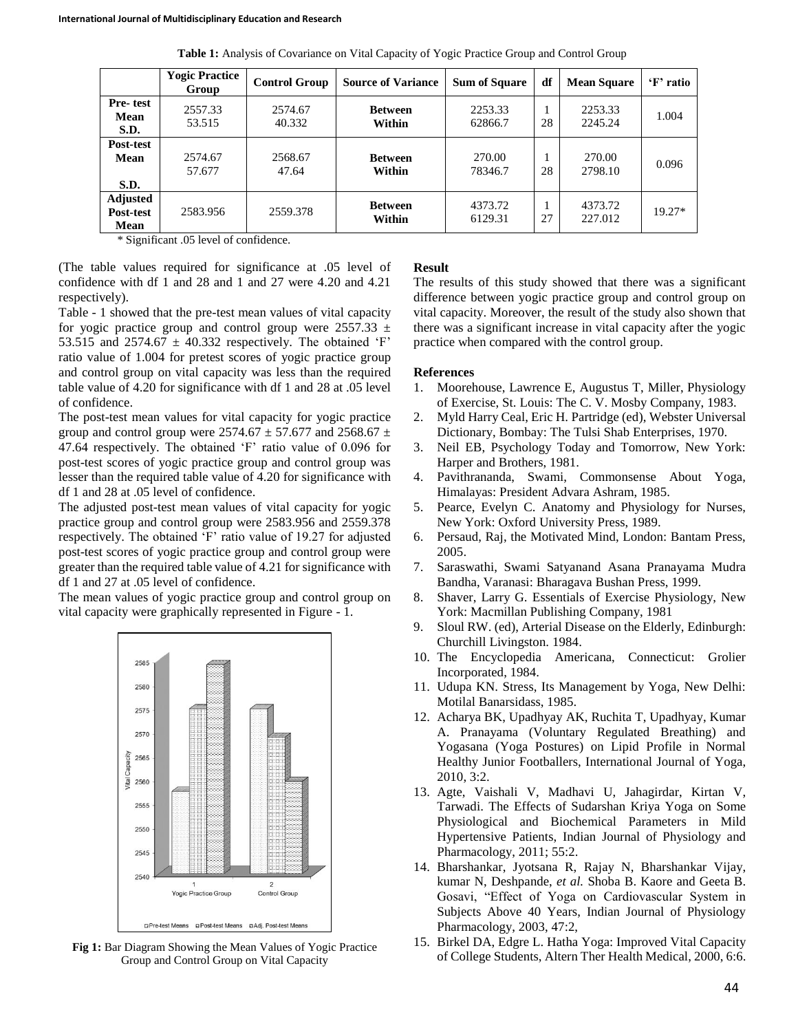|                                      | <b>Yogic Practice</b><br>Group | <b>Control Group</b> | <b>Source of Variance</b> | <b>Sum of Square</b> | df | <b>Mean Square</b> | 'F' ratio |
|--------------------------------------|--------------------------------|----------------------|---------------------------|----------------------|----|--------------------|-----------|
| Pre-test<br>Mean<br>S.D.             | 2557.33<br>53.515              | 2574.67<br>40.332    | <b>Between</b><br>Within  | 2253.33<br>62866.7   | 28 | 2253.33<br>2245.24 | 1.004     |
| Post-test<br>Mean<br>S.D.            | 2574.67<br>57.677              | 2568.67<br>47.64     | <b>Between</b><br>Within  | 270.00<br>78346.7    | 28 | 270.00<br>2798.10  | 0.096     |
| <b>Adjusted</b><br>Post-test<br>Mean | 2583.956                       | 2559.378             | <b>Between</b><br>Within  | 4373.72<br>6129.31   | 27 | 4373.72<br>227.012 | $19.27*$  |

**Table 1:** Analysis of Covariance on Vital Capacity of Yogic Practice Group and Control Group

\* Significant .05 level of confidence.

(The table values required for significance at .05 level of confidence with df 1 and 28 and 1 and 27 were 4.20 and 4.21 respectively).

Table - 1 showed that the pre-test mean values of vital capacity for yogic practice group and control group were  $2557.33 \pm$ 53.515 and 2574.67  $\pm$  40.332 respectively. The obtained 'F' ratio value of 1.004 for pretest scores of yogic practice group and control group on vital capacity was less than the required table value of 4.20 for significance with df 1 and 28 at .05 level of confidence.

The post-test mean values for vital capacity for yogic practice group and control group were  $2574.67 \pm 57.677$  and  $2568.67 \pm 10.67$ 47.64 respectively. The obtained 'F' ratio value of 0.096 for post-test scores of yogic practice group and control group was lesser than the required table value of 4.20 for significance with df 1 and 28 at .05 level of confidence.

The adjusted post-test mean values of vital capacity for yogic practice group and control group were 2583.956 and 2559.378 respectively. The obtained 'F' ratio value of 19.27 for adjusted post-test scores of yogic practice group and control group were greater than the required table value of 4.21 for significance with df 1 and 27 at .05 level of confidence.

The mean values of yogic practice group and control group on vital capacity were graphically represented in Figure - 1.



**Fig 1:** Bar Diagram Showing the Mean Values of Yogic Practice Group and Control Group on Vital Capacity

## **Result**

The results of this study showed that there was a significant difference between yogic practice group and control group on vital capacity. Moreover, the result of the study also shown that there was a significant increase in vital capacity after the yogic practice when compared with the control group.

## **References**

- 1. Moorehouse, Lawrence E, Augustus T, Miller, Physiology of Exercise, St. Louis: The C. V. Mosby Company, 1983.
- 2. Myld Harry Ceal, Eric H. Partridge (ed), Webster Universal Dictionary, Bombay: The Tulsi Shab Enterprises, 1970.
- 3. Neil EB, Psychology Today and Tomorrow, New York: Harper and Brothers, 1981.
- 4. Pavithrananda, Swami, Commonsense About Yoga, Himalayas: President Advara Ashram, 1985.
- 5. Pearce, Evelyn C. Anatomy and Physiology for Nurses, New York: Oxford University Press, 1989.
- 6. Persaud, Raj, the Motivated Mind, London: Bantam Press, 2005.
- 7. Saraswathi, Swami Satyanand Asana Pranayama Mudra Bandha, Varanasi: Bharagava Bushan Press, 1999.
- 8. Shaver, Larry G. Essentials of Exercise Physiology, New York: Macmillan Publishing Company, 1981
- 9. Sloul RW. (ed), Arterial Disease on the Elderly, Edinburgh: Churchill Livingston. 1984.
- 10. The Encyclopedia Americana, Connecticut: Grolier Incorporated, 1984.
- 11. Udupa KN. Stress, Its Management by Yoga, New Delhi: Motilal Banarsidass, 1985.
- 12. Acharya BK, Upadhyay AK, Ruchita T, Upadhyay, Kumar A. Pranayama (Voluntary Regulated Breathing) and Yogasana (Yoga Postures) on Lipid Profile in Normal Healthy Junior Footballers, International Journal of Yoga, 2010, 3:2.
- 13. Agte, Vaishali V, Madhavi U, Jahagirdar, Kirtan V, Tarwadi. The Effects of Sudarshan Kriya Yoga on Some Physiological and Biochemical Parameters in Mild Hypertensive Patients, Indian Journal of Physiology and Pharmacology, 2011; 55:2.
- 14. Bharshankar, Jyotsana R, Rajay N, Bharshankar Vijay, kumar N, Deshpande, *et al.* Shoba B. Kaore and Geeta B. Gosavi, "Effect of Yoga on Cardiovascular System in Subjects Above 40 Years, Indian Journal of Physiology Pharmacology, 2003, 47:2,
- 15. Birkel DA, Edgre L. Hatha Yoga: Improved Vital Capacity of College Students, Altern Ther Health Medical, 2000, 6:6.